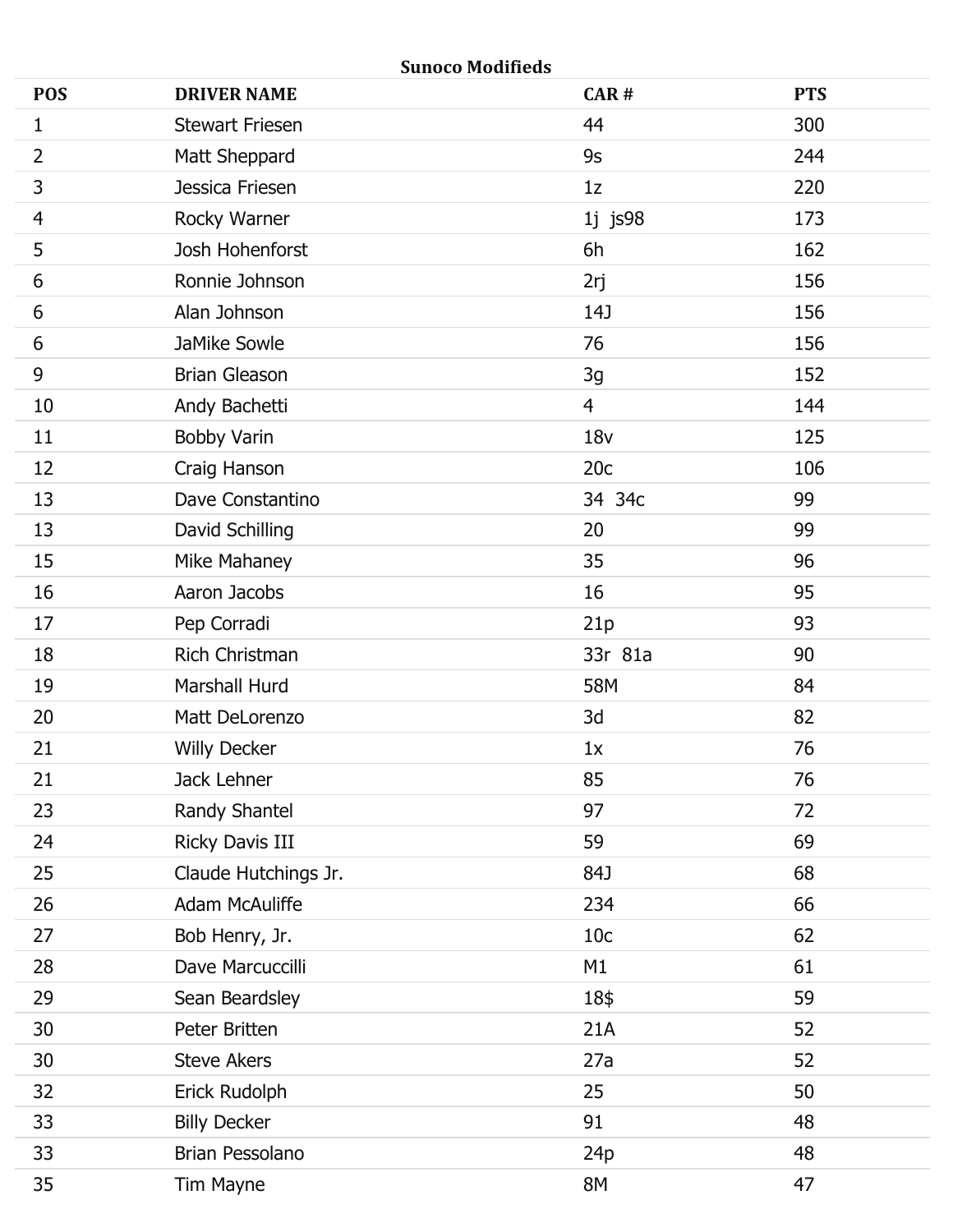|                | <b>Sunoco Modifieds</b> |                 |            |  |
|----------------|-------------------------|-----------------|------------|--|
| <b>POS</b>     | <b>DRIVER NAME</b>      | CAR#            | <b>PTS</b> |  |
| $\mathbf{1}$   | <b>Stewart Friesen</b>  | 44              | 300        |  |
| $\overline{2}$ | Matt Sheppard           | 9s              | 244        |  |
| 3              | Jessica Friesen         | 1z              | 220        |  |
| 4              | Rocky Warner            | 1j js98         | 173        |  |
| 5              | Josh Hohenforst         | 6h              | 162        |  |
| 6              | Ronnie Johnson          | 2rj             | 156        |  |
| 6              | Alan Johnson            | <b>14J</b>      | 156        |  |
| 6              | <b>JaMike Sowle</b>     | 76              | 156        |  |
| 9              | <b>Brian Gleason</b>    | 3g              | 152        |  |
| 10             | Andy Bachetti           | $\overline{4}$  | 144        |  |
| 11             | <b>Bobby Varin</b>      | 18 <sub>V</sub> | 125        |  |
| 12             | Craig Hanson            | 20c             | 106        |  |
| 13             | Dave Constantino        | 34 34c          | 99         |  |
| 13             | David Schilling         | 20              | 99         |  |
| 15             | Mike Mahaney            | 35              | 96         |  |
| 16             | Aaron Jacobs            | 16              | 95         |  |
| 17             | Pep Corradi             | 21p             | 93         |  |
| 18             | Rich Christman          | 33r 81a         | 90         |  |
| 19             | Marshall Hurd           | 58M             | 84         |  |
| 20             | Matt DeLorenzo          | 3d              | 82         |  |
| 21             | <b>Willy Decker</b>     | 1x              | 76         |  |
| 21             | Jack Lehner             | 85              | 76         |  |
| 23             | Randy Shantel           | 97              | 72         |  |
| 24             | <b>Ricky Davis III</b>  | 59              | 69         |  |
| 25             | Claude Hutchings Jr.    | <b>84J</b>      | 68         |  |
| 26             | Adam McAuliffe          | 234             | 66         |  |
| 27             | Bob Henry, Jr.          | 10 <sub>c</sub> | 62         |  |
| 28             | Dave Marcuccilli        | M1              | 61         |  |
| 29             | Sean Beardsley          | 18\$            | 59         |  |
| 30             | Peter Britten           | 21A             | 52         |  |
| 30             | <b>Steve Akers</b>      | 27a             | 52         |  |
| 32             | Erick Rudolph           | 25              | 50         |  |
| 33             | <b>Billy Decker</b>     | 91              | 48         |  |
| 33             | Brian Pessolano         | 24p             | 48         |  |
| 35             | Tim Mayne               | 8M              | 47         |  |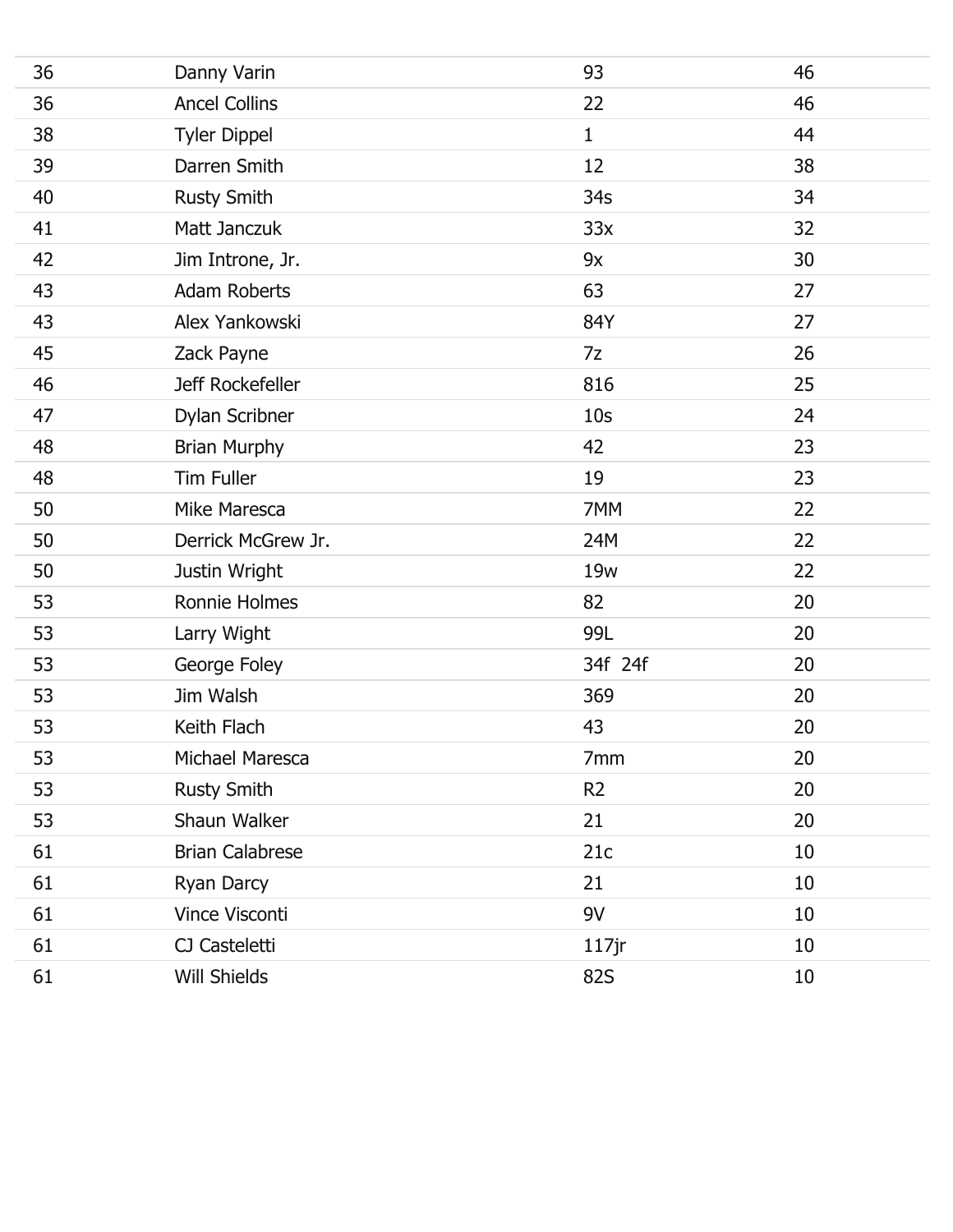| 36 | Danny Varin            | 93              | 46 |
|----|------------------------|-----------------|----|
| 36 | <b>Ancel Collins</b>   | 22              | 46 |
| 38 | <b>Tyler Dippel</b>    | $\mathbf{1}$    | 44 |
| 39 | Darren Smith           | 12              | 38 |
| 40 | <b>Rusty Smith</b>     | 34s             | 34 |
| 41 | Matt Janczuk           | 33x             | 32 |
| 42 | Jim Introne, Jr.       | 9x              | 30 |
| 43 | <b>Adam Roberts</b>    | 63              | 27 |
| 43 | Alex Yankowski         | 84Y             | 27 |
| 45 | Zack Payne             | 7z              | 26 |
| 46 | Jeff Rockefeller       | 816             | 25 |
| 47 | Dylan Scribner         | 10 <sub>S</sub> | 24 |
| 48 | <b>Brian Murphy</b>    | 42              | 23 |
| 48 | <b>Tim Fuller</b>      | 19              | 23 |
| 50 | Mike Maresca           | 7MM             | 22 |
| 50 | Derrick McGrew Jr.     | 24M             | 22 |
| 50 | Justin Wright          | 19 <sub>w</sub> | 22 |
| 53 | Ronnie Holmes          | 82              | 20 |
| 53 | Larry Wight            | 99L             | 20 |
| 53 | George Foley           | 34f 24f         | 20 |
| 53 | Jim Walsh              | 369             | 20 |
| 53 | Keith Flach            | 43              | 20 |
| 53 | Michael Maresca        | 7mm             | 20 |
| 53 | <b>Rusty Smith</b>     | R <sub>2</sub>  | 20 |
| 53 | Shaun Walker           | 21              | 20 |
| 61 | <b>Brian Calabrese</b> | 21c             | 10 |
| 61 | Ryan Darcy             | 21              | 10 |
| 61 | Vince Visconti         | 9V              | 10 |
| 61 | CJ Casteletti          | $117$ jr        | 10 |
| 61 | Will Shields           | <b>82S</b>      | 10 |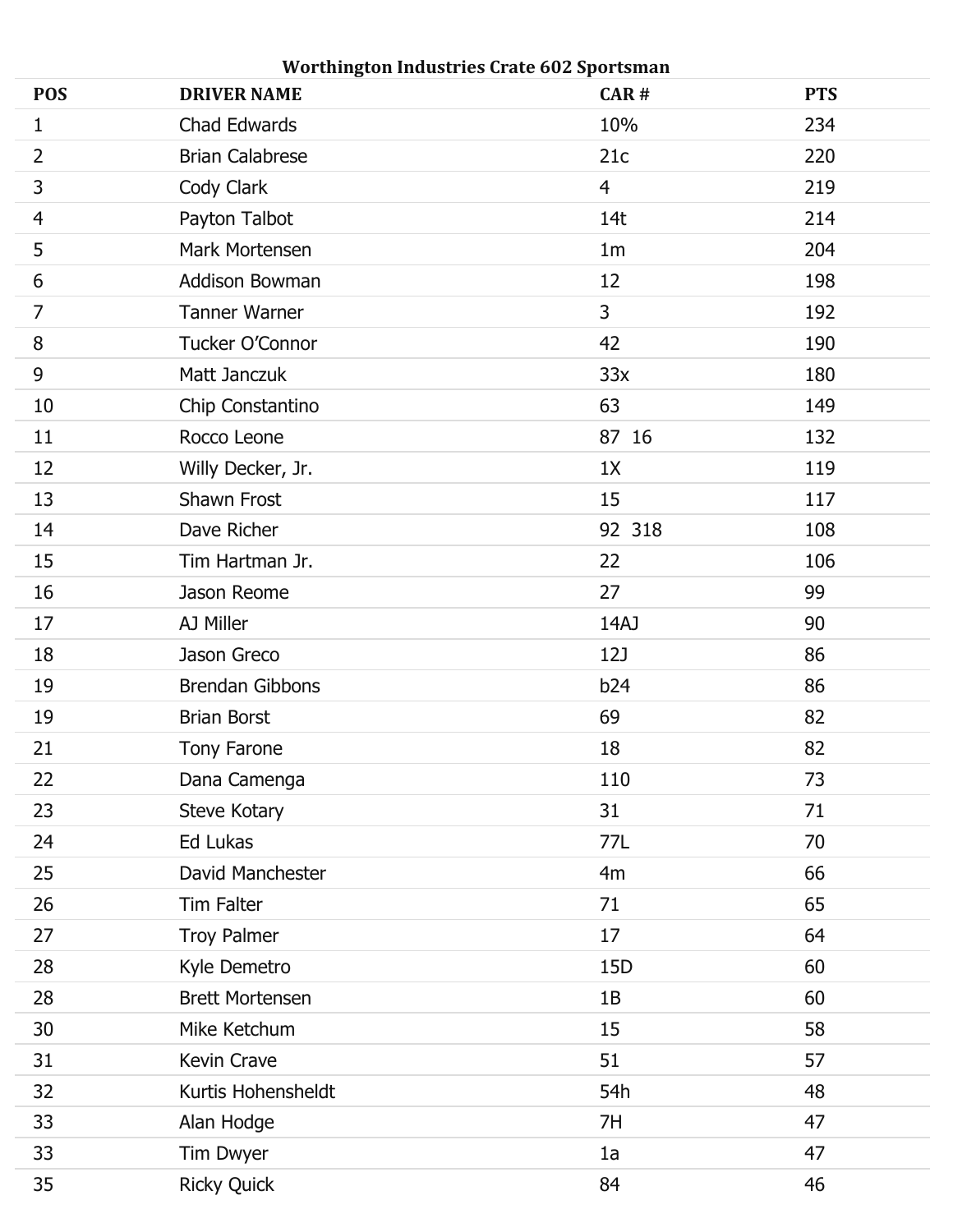| Worthington Industries Crate 602 Sportsman |                        |                |            |  |
|--------------------------------------------|------------------------|----------------|------------|--|
| <b>POS</b>                                 | <b>DRIVER NAME</b>     | $CAR$ #        | <b>PTS</b> |  |
| $\mathbf{1}$                               | Chad Edwards           | 10%            | 234        |  |
| $\overline{2}$                             | <b>Brian Calabrese</b> | 21c            | 220        |  |
| 3                                          | Cody Clark             | $\overline{4}$ | 219        |  |
| 4                                          | Payton Talbot          | 14t            | 214        |  |
| 5                                          | Mark Mortensen         | 1 <sub>m</sub> | 204        |  |
| 6                                          | Addison Bowman         | 12             | 198        |  |
| 7                                          | <b>Tanner Warner</b>   | 3              | 192        |  |
| 8                                          | Tucker O'Connor        | 42             | 190        |  |
| 9                                          | Matt Janczuk           | 33x            | 180        |  |
| 10                                         | Chip Constantino       | 63             | 149        |  |
| 11                                         | Rocco Leone            | 87 16          | 132        |  |
| 12                                         | Willy Decker, Jr.      | 1X             | 119        |  |
| 13                                         | Shawn Frost            | 15             | 117        |  |
| 14                                         | Dave Richer            | 92 318         | 108        |  |
| 15                                         | Tim Hartman Jr.        | 22             | 106        |  |
| 16                                         | Jason Reome            | 27             | 99         |  |
| 17                                         | AJ Miller              | 14AJ           | 90         |  |
| 18                                         | Jason Greco            | <b>12J</b>     | 86         |  |
| 19                                         | <b>Brendan Gibbons</b> | b24            | 86         |  |
| 19                                         | <b>Brian Borst</b>     | 69             | 82         |  |
| 21                                         | <b>Tony Farone</b>     | 18             | 82         |  |
| 22                                         | Dana Camenga           | 110            | 73         |  |
| 23                                         | Steve Kotary           | 31             | 71         |  |
| 24                                         | Ed Lukas               | 77L            | 70         |  |
| 25                                         | David Manchester       | 4m             | 66         |  |
| 26                                         | Tim Falter             | 71             | 65         |  |
| 27                                         | Troy Palmer            | 17             | 64         |  |
| 28                                         | Kyle Demetro           | 15D            | 60         |  |
| 28                                         | <b>Brett Mortensen</b> | 1B             | 60         |  |
| 30                                         | Mike Ketchum           | 15             | 58         |  |
| 31                                         | Kevin Crave            | 51             | 57         |  |
| 32                                         | Kurtis Hohensheldt     | 54h            | 48         |  |
| 33                                         | Alan Hodge             | 7H             | 47         |  |
| 33                                         | Tim Dwyer              | 1a             | 47         |  |
| 35                                         | <b>Ricky Quick</b>     | 84             | 46         |  |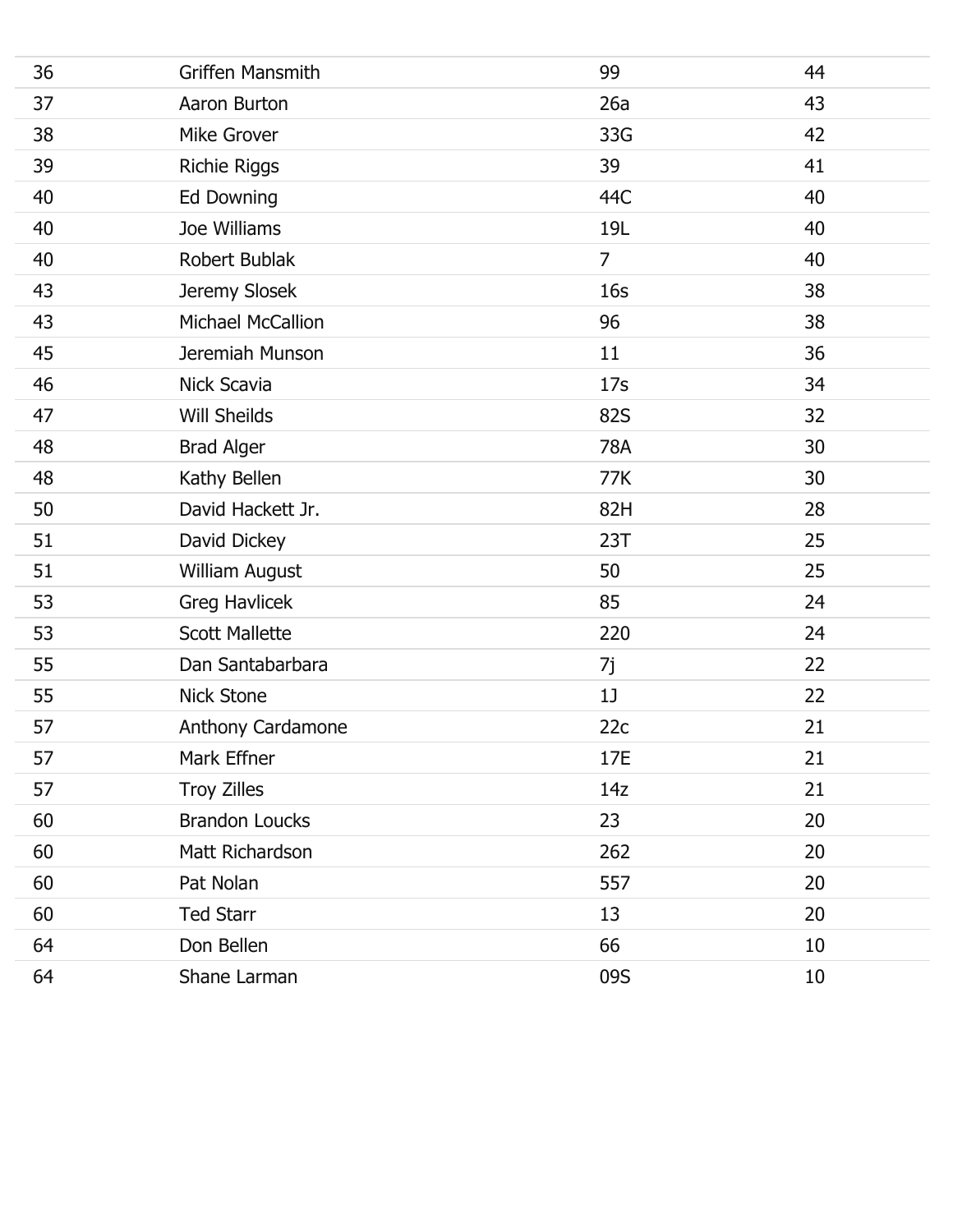| 36 | <b>Griffen Mansmith</b> | 99              | 44 |
|----|-------------------------|-----------------|----|
| 37 | Aaron Burton            | 26a             | 43 |
| 38 | Mike Grover             | 33G             | 42 |
| 39 | <b>Richie Riggs</b>     | 39              | 41 |
| 40 | Ed Downing              | 44C             | 40 |
| 40 | Joe Williams            | 19L             | 40 |
| 40 | Robert Bublak           | $\overline{7}$  | 40 |
| 43 | Jeremy Slosek           | 16 <sub>S</sub> | 38 |
| 43 | Michael McCallion       | 96              | 38 |
| 45 | Jeremiah Munson         | 11              | 36 |
| 46 | Nick Scavia             | 17s             | 34 |
| 47 | <b>Will Sheilds</b>     | <b>82S</b>      | 32 |
| 48 | <b>Brad Alger</b>       | 78A             | 30 |
| 48 | Kathy Bellen            | 77K             | 30 |
| 50 | David Hackett Jr.       | 82H             | 28 |
| 51 | David Dickey            | 23T             | 25 |
| 51 | William August          | 50              | 25 |
| 53 | <b>Greg Havlicek</b>    | 85              | 24 |
| 53 | <b>Scott Mallette</b>   | 220             | 24 |
| 55 | Dan Santabarbara        | 7j              | 22 |
| 55 | <b>Nick Stone</b>       | 1               | 22 |
| 57 | Anthony Cardamone       | 22c             | 21 |
| 57 | Mark Effner             | 17E             | 21 |
| 57 | <b>Troy Zilles</b>      | 14z             | 21 |
| 60 | <b>Brandon Loucks</b>   | 23              | 20 |
| 60 | Matt Richardson         | 262             | 20 |
| 60 | Pat Nolan               | 557             | 20 |
| 60 | <b>Ted Starr</b>        | 13              | 20 |
| 64 | Don Bellen              | 66              | 10 |
| 64 | Shane Larman            | 09S             | 10 |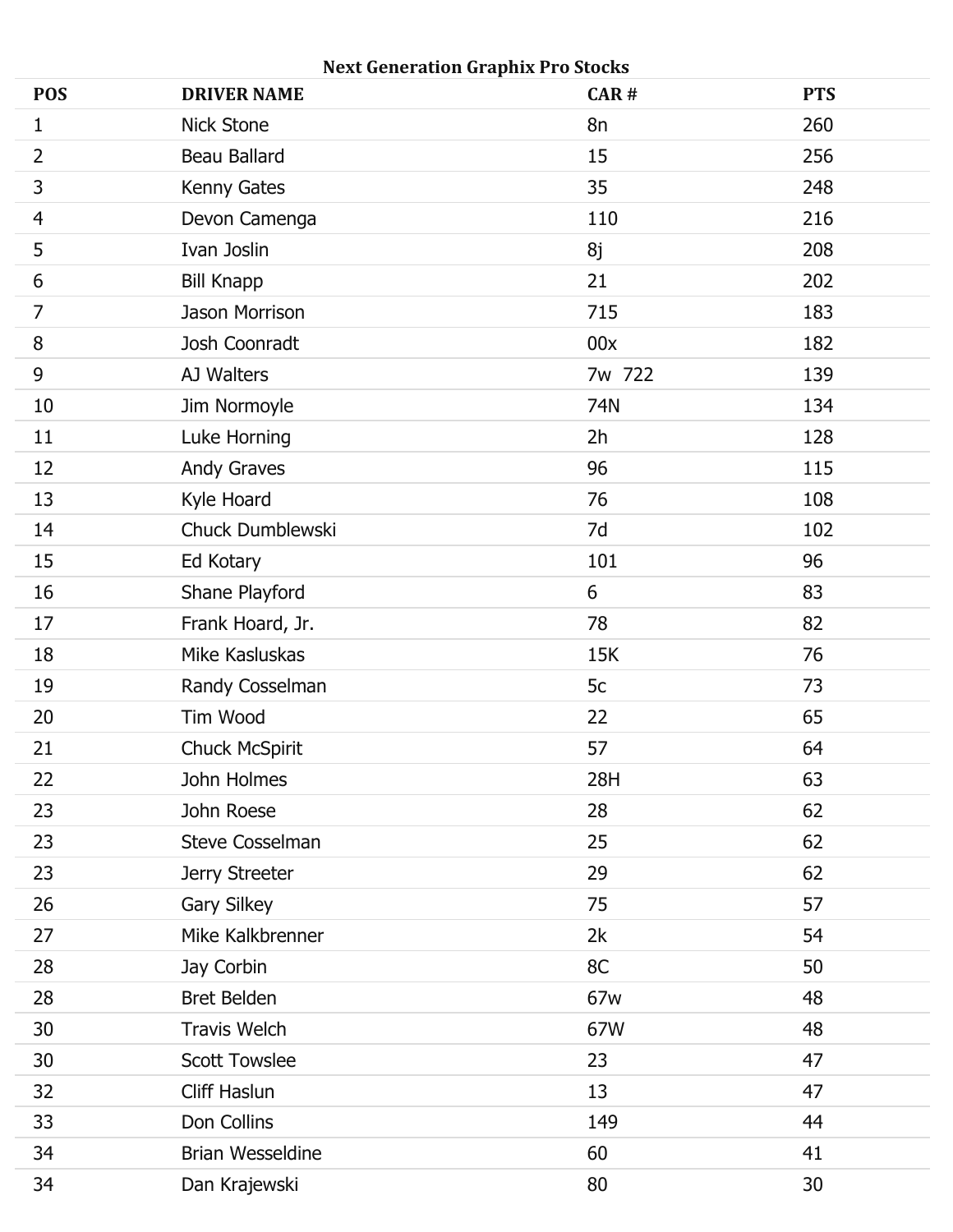| <b>Next Generation Graphix Pro Stocks</b> |                         |        |            |
|-------------------------------------------|-------------------------|--------|------------|
| <b>POS</b>                                | <b>DRIVER NAME</b>      | CAR#   | <b>PTS</b> |
| $\mathbf{1}$                              | <b>Nick Stone</b>       | 8n     | 260        |
| $\overline{2}$                            | Beau Ballard            | 15     | 256        |
| 3                                         | Kenny Gates             | 35     | 248        |
| 4                                         | Devon Camenga           | 110    | 216        |
| 5                                         | Ivan Joslin             | 8j     | 208        |
| 6                                         | <b>Bill Knapp</b>       | 21     | 202        |
| $\overline{7}$                            | Jason Morrison          | 715    | 183        |
| 8                                         | Josh Coonradt           | 00x    | 182        |
| 9                                         | AJ Walters              | 7w 722 | 139        |
| 10                                        | Jim Normoyle            | 74N    | 134        |
| 11                                        | Luke Horning            | 2h     | 128        |
| 12                                        | <b>Andy Graves</b>      | 96     | 115        |
| 13                                        | Kyle Hoard              | 76     | 108        |
| 14                                        | Chuck Dumblewski        | 7d     | 102        |
| 15                                        | Ed Kotary               | 101    | 96         |
| 16                                        | Shane Playford          | 6      | 83         |
| 17                                        | Frank Hoard, Jr.        | 78     | 82         |
| 18                                        | Mike Kasluskas          | 15K    | 76         |
| 19                                        | Randy Cosselman         | 5c     | 73         |
| 20                                        | Tim Wood                | 22     | 65         |
| 21                                        | <b>Chuck McSpirit</b>   | 57     | 64         |
| 22                                        | John Holmes             | 28H    | 63         |
| 23                                        | John Roese              | 28     | 62         |
| 23                                        | <b>Steve Cosselman</b>  | 25     | 62         |
| 23                                        | Jerry Streeter          | 29     | 62         |
| 26                                        | <b>Gary Silkey</b>      | 75     | 57         |
| 27                                        | Mike Kalkbrenner        | 2k     | 54         |
| 28                                        | Jay Corbin              | 8C     | 50         |
| 28                                        | Bret Belden             | 67w    | 48         |
| 30                                        | Travis Welch            | 67W    | 48         |
| 30                                        | <b>Scott Towslee</b>    | 23     | 47         |
| 32                                        | Cliff Haslun            | 13     | 47         |
| 33                                        | Don Collins             | 149    | 44         |
| 34                                        | <b>Brian Wesseldine</b> | 60     | 41         |
| 34                                        | Dan Krajewski           | 80     | 30         |